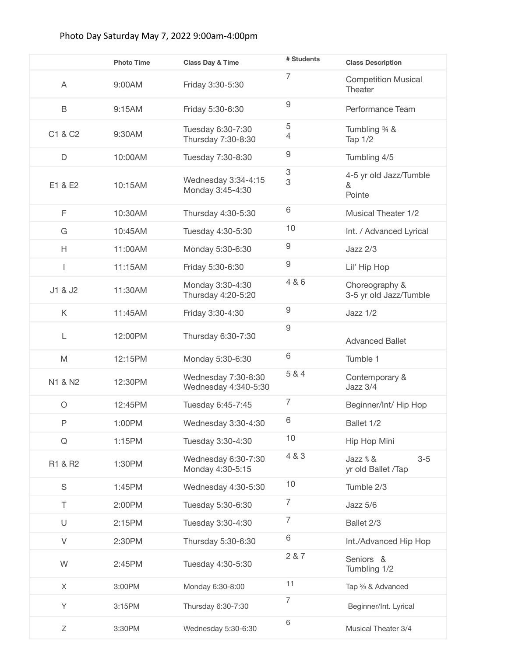## Photo Day Saturday May 7, 2022 9:00am-4:00pm

|               | <b>Photo Time</b> | <b>Class Day &amp; Time</b>                 | # Students     | <b>Class Description</b>                  |
|---------------|-------------------|---------------------------------------------|----------------|-------------------------------------------|
| A             | 9:00AM            | Friday 3:30-5:30                            | $\overline{7}$ | <b>Competition Musical</b><br>Theater     |
| B             | 9:15AM            | Friday 5:30-6:30                            | 9              | Performance Team                          |
| C1 & C2       | 9:30AM            | Tuesday 6:30-7:30<br>Thursday 7:30-8:30     | 5<br>4         | Tumbling 34 &<br>Tap 1/2                  |
| D             | 10:00AM           | Tuesday 7:30-8:30                           | $\hbox{9}$     | Tumbling 4/5                              |
| E1 & E2       | 10:15AM           | Wednesday 3:34-4:15<br>Monday 3:45-4:30     | 3<br>3         | 4-5 yr old Jazz/Tumble<br>&<br>Pointe     |
| F             | 10:30AM           | Thursday 4:30-5:30                          | 6              | <b>Musical Theater 1/2</b>                |
| G             | 10:45AM           | Tuesday 4:30-5:30                           | 10             | Int. / Advanced Lyrical                   |
| H             | 11:00AM           | Monday 5:30-6:30                            | $\hbox{9}$     | $Jazz$ $2/3$                              |
| I.            | 11:15AM           | Friday 5:30-6:30                            | $\hbox{9}$     | Lil' Hip Hop                              |
| J1 & J2       | 11:30AM           | Monday 3:30-4:30<br>Thursday 4:20-5:20      | 4 & 6          | Choreography &<br>3-5 yr old Jazz/Tumble  |
| K             | 11:45AM           | Friday 3:30-4:30                            | 9              | Jazz 1/2                                  |
| L             | 12:00PM           | Thursday 6:30-7:30                          | 9              | <b>Advanced Ballet</b>                    |
| M             | 12:15PM           | Monday 5:30-6:30                            | 6              | Tumble 1                                  |
| N1 & N2       | 12:30PM           | Wednesday 7:30-8:30<br>Wednesday 4:340-5:30 | 5 & 4          | Contemporary &<br>Jazz 3/4                |
| $\circ$       | 12:45PM           | Tuesday 6:45-7:45                           | $\overline{7}$ | Beginner/Int/ Hip Hop                     |
| P             | 1:00PM            | Wednesday 3:30-4:30                         | 6              | Ballet 1/2                                |
| ${\mathsf Q}$ | 1:15PM            | Tuesday 3:30-4:30                           | 10             | Hip Hop Mini                              |
| R1 & R2       | 1:30PM            | Wednesday 6:30-7:30<br>Monday 4:30-5:15     | 4 & 3          | $3-5$<br>Jazz $%$ &<br>yr old Ballet /Tap |
| $\mathbb S$   | 1:45PM            | Wednesday 4:30-5:30                         | 10             | Tumble 2/3                                |
| T             | 2:00PM            | Tuesday 5:30-6:30                           | $\overline{7}$ | Jazz 5/6                                  |
| $\cup$        | 2:15PM            | Tuesday 3:30-4:30                           | 7              | Ballet 2/3                                |
| V             | 2:30PM            | Thursday 5:30-6:30                          | 6              | Int./Advanced Hip Hop                     |
| W             | 2:45PM            | Tuesday 4:30-5:30                           | 2 & 7          | Seniors &<br>Tumbling 1/2                 |
| X             | 3:00PM            | Monday 6:30-8:00                            | 11             | Tap % & Advanced                          |
| Υ             | 3:15PM            | Thursday 6:30-7:30                          | 7              | Beginner/Int. Lyrical                     |
| Ζ             | 3:30PM            | Wednesday 5:30-6:30                         | 6              | Musical Theater 3/4                       |